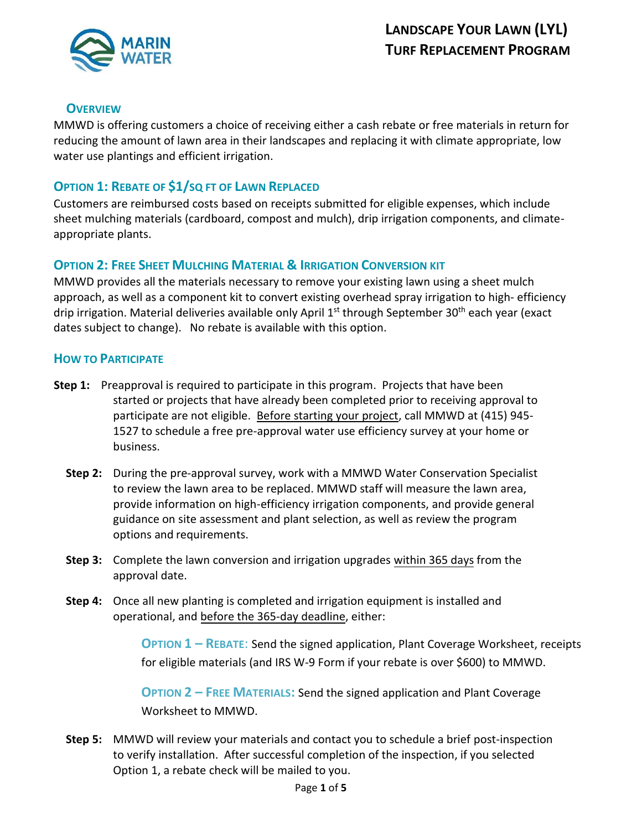

## **OVERVIEW**

MMWD is offering customers a choice of receiving either a cash rebate or free materials in return for reducing the amount of lawn area in their landscapes and replacing it with climate appropriate, low water use plantings and efficient irrigation.

## **OPTION 1: REBATE OF \$1/SQ FT OF LAWN REPLACED**

Customers are reimbursed costs based on receipts submitted for eligible expenses, which include sheet mulching materials (cardboard, compost and mulch), drip irrigation components, and climateappropriate plants.

## **OPTION 2: FREE SHEET MULCHING MATERIAL & IRRIGATION CONVERSION KIT**

MMWD provides all the materials necessary to remove your existing lawn using a sheet mulch approach, as well as a component kit to convert existing overhead spray irrigation to high- efficiency drip irrigation. Material deliveries available only April 1<sup>st</sup> through September 30<sup>th</sup> each year (exact dates subject to change). No rebate is available with this option.

#### **HOW TO PARTICIPATE**

- **Step 1:** Preapproval is required to participate in this program. Projects that have been started or projects that have already been completed prior to receiving approval to participate are not eligible. Before starting your project, call MMWD at (415) 945- 1527 to schedule a free pre-approval water use efficiency survey at your home or business.
	- **Step 2:** During the pre-approval survey, work with a MMWD Water Conservation Specialist to review the lawn area to be replaced. MMWD staff will measure the lawn area, provide information on high-efficiency irrigation components, and provide general guidance on site assessment and plant selection, as well as review the program options and requirements.
	- **Step 3:** Complete the lawn conversion and irrigation upgrades within 365 days from the approval date.
	- **Step 4:** Once all new planting is completed and irrigation equipment is installed and operational, and before the 365-day deadline, either:

**OPTION 1 – REBATE**: Send the signed application, Plant Coverage Worksheet, receipts for eligible materials (and IRS W-9 Form if your rebate is over \$600) to MMWD.

**OPTION 2 – FREE MATERIALS:** Send the signed application and Plant Coverage Worksheet to MMWD.

**Step 5:** MMWD will review your materials and contact you to schedule a brief post-inspection to verify installation. After successful completion of the inspection, if you selected Option 1, a rebate check will be mailed to you.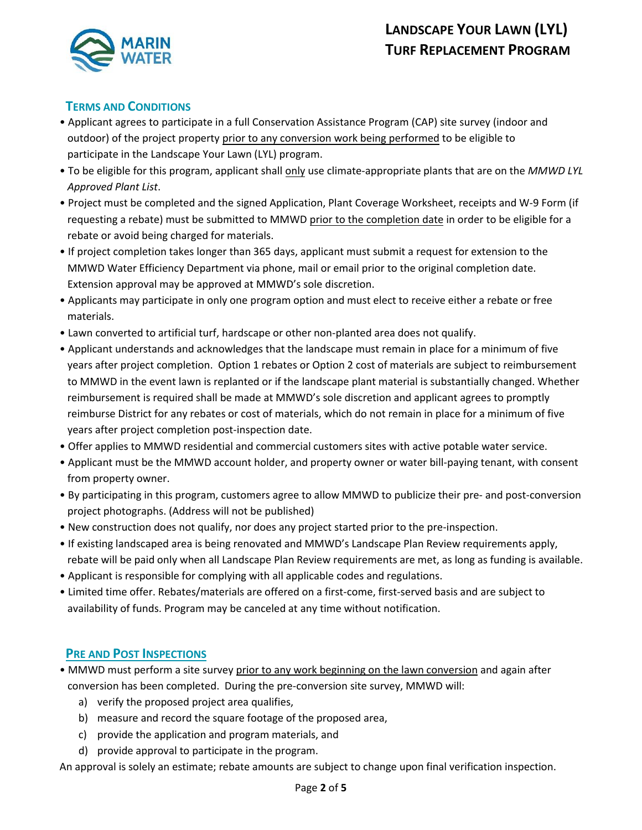

#### **TERMS AND CONDITIONS**

- Applicant agrees to participate in a full Conservation Assistance Program (CAP) site survey (indoor and outdoor) of the project property prior to any conversion work being performed to be eligible to participate in the Landscape Your Lawn (LYL) program.
- To be eligible for this program, applicant shall only use climate-appropriate plants that are on the *MMWD LYL Approved Plant List*.
- Project must be completed and the signed Application, Plant Coverage Worksheet, receipts and W-9 Form (if requesting a rebate) must be submitted to MMWD prior to the completion date in order to be eligible for a rebate or avoid being charged for materials.
- If project completion takes longer than 365 days, applicant must submit a request for extension to the MMWD Water Efficiency Department via phone, mail or email prior to the original completion date. Extension approval may be approved at MMWD's sole discretion.
- Applicants may participate in only one program option and must elect to receive either a rebate or free materials.
- Lawn converted to artificial turf, hardscape or other non-planted area does not qualify.
- Applicant understands and acknowledges that the landscape must remain in place for a minimum of five years after project completion. Option 1 rebates or Option 2 cost of materials are subject to reimbursement to MMWD in the event lawn is replanted or if the landscape plant material is substantially changed. Whether reimbursement is required shall be made at MMWD's sole discretion and applicant agrees to promptly reimburse District for any rebates or cost of materials, which do not remain in place for a minimum of five years after project completion post-inspection date.
- Offer applies to MMWD residential and commercial customers sites with active potable water service.
- Applicant must be the MMWD account holder, and property owner or water bill-paying tenant, with consent from property owner.
- By participating in this program, customers agree to allow MMWD to publicize their pre- and post-conversion project photographs. (Address will not be published)
- New construction does not qualify, nor does any project started prior to the pre-inspection.
- If existing landscaped area is being renovated and MMWD's Landscape Plan Review requirements apply, rebate will be paid only when all Landscape Plan Review requirements are met, as long as funding is available.
- Applicant is responsible for complying with all applicable codes and regulations.
- Limited time offer. Rebates/materials are offered on a first-come, first-served basis and are subject to availability of funds. Program may be canceled at any time without notification.

#### **PRE AND POST INSPECTIONS**

- MMWD must perform a site survey prior to any work beginning on the lawn conversion and again after conversion has been completed. During the pre-conversion site survey, MMWD will:
	- a) verify the proposed project area qualifies,
	- b) measure and record the square footage of the proposed area,
	- c) provide the application and program materials, and
	- d) provide approval to participate in the program.

An approval is solely an estimate; rebate amounts are subject to change upon final verification inspection.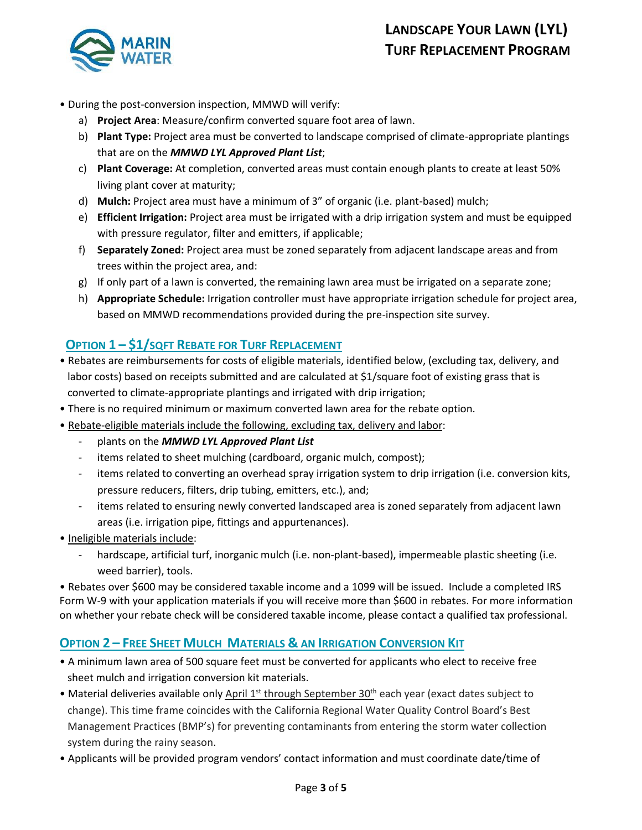

- During the post-conversion inspection, MMWD will verify:
	- a) **Project Area**: Measure/confirm converted square foot area of lawn.
	- b) **Plant Type:** Project area must be converted to landscape comprised of climate-appropriate plantings that are on the *MMWD LYL Approved Plant List*;
	- c) **Plant Coverage:** At completion, converted areas must contain enough plants to create at least 50% living plant cover at maturity;
	- d) **Mulch:** Project area must have a minimum of 3" of organic (i.e. plant-based) mulch;
	- e) **Efficient Irrigation:** Project area must be irrigated with a drip irrigation system and must be equipped with pressure regulator, filter and emitters, if applicable;
	- f) **Separately Zoned:** Project area must be zoned separately from adjacent landscape areas and from trees within the project area, and:
	- g) If only part of a lawn is converted, the remaining lawn area must be irrigated on a separate zone;
	- h) **Appropriate Schedule:** Irrigation controller must have appropriate irrigation schedule for project area, based on MMWD recommendations provided during the pre-inspection site survey.

## **OPTION 1 – \$1/SQFT REBATE FOR TURF REPLACEMENT**

- Rebates are reimbursements for costs of eligible materials, identified below, (excluding tax, delivery, and labor costs) based on receipts submitted and are calculated at \$1/square foot of existing grass that is converted to climate-appropriate plantings and irrigated with drip irrigation;
- There is no required minimum or maximum converted lawn area for the rebate option.
- Rebate-eligible materials include the following, excluding tax, delivery and labor:
	- plants on the *MMWD LYL Approved Plant List*
	- items related to sheet mulching (cardboard, organic mulch, compost);
	- items related to converting an overhead spray irrigation system to drip irrigation (i.e. conversion kits, pressure reducers, filters, drip tubing, emitters, etc.), and;
	- items related to ensuring newly converted landscaped area is zoned separately from adjacent lawn areas (i.e. irrigation pipe, fittings and appurtenances).
- Ineligible materials include:
	- hardscape, artificial turf, inorganic mulch (i.e. non-plant-based), impermeable plastic sheeting (i.e. weed barrier), tools.

• Rebates over \$600 may be considered taxable income and a 1099 will be issued. Include a completed IRS Form W-9 with your application materials if you will receive more than \$600 in rebates. For more information on whether your rebate check will be considered taxable income, please contact a qualified tax professional.

## **OPTION 2 – FREE SHEET MULCH MATERIALS & AN IRRIGATION CONVERSION KIT**

- A minimum lawn area of 500 square feet must be converted for applicants who elect to receive free sheet mulch and irrigation conversion kit materials.
- Material deliveries available only April 1<sup>st</sup> through September 30<sup>th</sup> each year (exact dates subject to change). This time frame coincides with the California Regional Water Quality Control Board's Best Management Practices (BMP's) for preventing contaminants from entering the storm water collection system during the rainy season.
- Applicants will be provided program vendors' contact information and must coordinate date/time of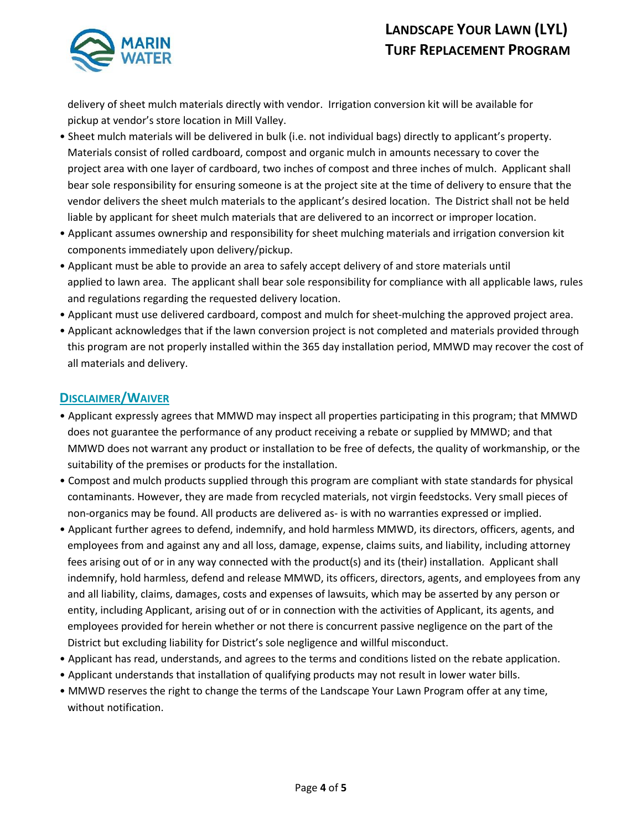

 delivery of sheet mulch materials directly with vendor. Irrigation conversion kit will be available for pickup at vendor's store location in Mill Valley.

- Sheet mulch materials will be delivered in bulk (i.e. not individual bags) directly to applicant's property. Materials consist of rolled cardboard, compost and organic mulch in amounts necessary to cover the project area with one layer of cardboard, two inches of compost and three inches of mulch. Applicant shall bear sole responsibility for ensuring someone is at the project site at the time of delivery to ensure that the vendor delivers the sheet mulch materials to the applicant's desired location. The District shall not be held liable by applicant for sheet mulch materials that are delivered to an incorrect or improper location.
- Applicant assumes ownership and responsibility for sheet mulching materials and irrigation conversion kit components immediately upon delivery/pickup.
- Applicant must be able to provide an area to safely accept delivery of and store materials until applied to lawn area. The applicant shall bear sole responsibility for compliance with all applicable laws, rules and regulations regarding the requested delivery location.
- Applicant must use delivered cardboard, compost and mulch for sheet-mulching the approved project area.
- Applicant acknowledges that if the lawn conversion project is not completed and materials provided through this program are not properly installed within the 365 day installation period, MMWD may recover the cost of all materials and delivery.

## **DISCLAIMER/WAIVER**

- Applicant expressly agrees that MMWD may inspect all properties participating in this program; that MMWD does not guarantee the performance of any product receiving a rebate or supplied by MMWD; and that MMWD does not warrant any product or installation to be free of defects, the quality of workmanship, or the suitability of the premises or products for the installation.
- Compost and mulch products supplied through this program are compliant with state standards for physical contaminants. However, they are made from recycled materials, not virgin feedstocks. Very small pieces of non-organics may be found. All products are delivered as- is with no warranties expressed or implied.
- Applicant further agrees to defend, indemnify, and hold harmless MMWD, its directors, officers, agents, and employees from and against any and all loss, damage, expense, claims suits, and liability, including attorney fees arising out of or in any way connected with the product(s) and its (their) installation. Applicant shall indemnify, hold harmless, defend and release MMWD, its officers, directors, agents, and employees from any and all liability, claims, damages, costs and expenses of lawsuits, which may be asserted by any person or entity, including Applicant, arising out of or in connection with the activities of Applicant, its agents, and employees provided for herein whether or not there is concurrent passive negligence on the part of the District but excluding liability for District's sole negligence and willful misconduct.
- Applicant has read, understands, and agrees to the terms and conditions listed on the rebate application.
- Applicant understands that installation of qualifying products may not result in lower water bills.
- MMWD reserves the right to change the terms of the Landscape Your Lawn Program offer at any time, without notification.